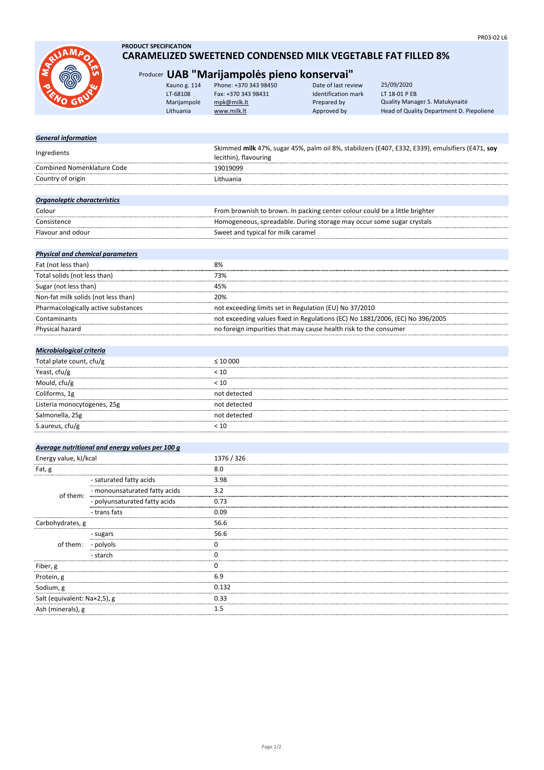

# **PRODUCT SPECIFICATION CARAMELIZED SWEETENED CONDENSED MILK VEGETABLE FAT FILLED 8%**

# Producer **UAB "Marijampolės pieno konservai"**

| Kauno g. 114 | Phone: +370 343 98450 | Date of last review | 25/09/2020                               |
|--------------|-----------------------|---------------------|------------------------------------------|
| LT-68108     | Fax: +370 343 98431   | Identification mark | LT 18-01 P EB                            |
| Marijampolė  | mpk@milk.lt           | Prepared by         | Quality Manager S. Matukynaitė           |
| Lithuania    | www.milk.lt           | Approved by         | Head of Quality Department D. Piepolienė |
|              |                       |                     |                                          |

# *General information*

| Ingredients                       | Skimmed milk 47%, sugar 45%, palm oil 8%, stabilizers (E407, E332, E339), emulsifiers (E471, soy<br>lecithin), flavouring |
|-----------------------------------|---------------------------------------------------------------------------------------------------------------------------|
| <b>Combined Nomenklature Code</b> | 19019099                                                                                                                  |
| Country of origin                 | Lithuania                                                                                                                 |
|                                   |                                                                                                                           |
| Organoleptic characteristics      |                                                                                                                           |

| Colour            | From brownish to brown. In packing center colour could be a little brighter |
|-------------------|-----------------------------------------------------------------------------|
| Consistence       | Homogeneous, spreadable. During storage may occur some sugar crystals       |
| Flavour and odour | Sweet and typical for milk caramel                                          |
|                   |                                                                             |

### *Physical and chemical parameters*

| Fat (not less than)                 | 8%                                                                            |
|-------------------------------------|-------------------------------------------------------------------------------|
|                                     |                                                                               |
| Total solids (not less than)        | 73%                                                                           |
| Sugar (not less than)               | 45%                                                                           |
| Non-fat milk solids (not less than) | 20%                                                                           |
| Pharmacologically active substances | not exceeding limits set in Regulation (EU) No 37/2010                        |
| Contaminants                        | not exceeding values fixed in Regulations (EC) No 1881/2006, (EC) No 396/2005 |
| Physical hazard                     | no foreign impurities that may cause health risk to the consumer              |

# *Microbiological criteria*

| Total plate count, cfu/g    | $\leq 10000$ |
|-----------------------------|--------------|
| Yeast, cfu/g                | < 10         |
| Mould, cfu/g                | < 10         |
| Coliforms, 1g               | not detected |
| Listeria monocytogenes, 25g | not detected |
| Salmonella, 25g             | not detected |
| S.aureus, cfu/g             |              |

# *Average nutritional and energy values per 100 g*

| Energy value, kJ/kcal        |                               | 1376 / 326 |
|------------------------------|-------------------------------|------------|
| Fat, g                       |                               | 8.0        |
|                              | - saturated fatty acids       | 3.98       |
| of them:                     | - monounsaturated fatty acids | 3.2        |
|                              | - polyunsaturated fatty acids | 0.73       |
|                              | - trans fats                  | 0.09       |
| Carbohydrates, g             |                               | 56.6       |
|                              | - sugars                      | 56.6       |
| of them:                     | - polyols                     |            |
|                              | - starch                      |            |
| Fiber, g                     |                               |            |
| Protein, g                   |                               | 6.9        |
| Sodium, g                    |                               | 0.132      |
| Salt (equivalent: Nax2,5), g |                               | 0.33       |
| Ash (minerals), g            |                               | $1.5\,$    |